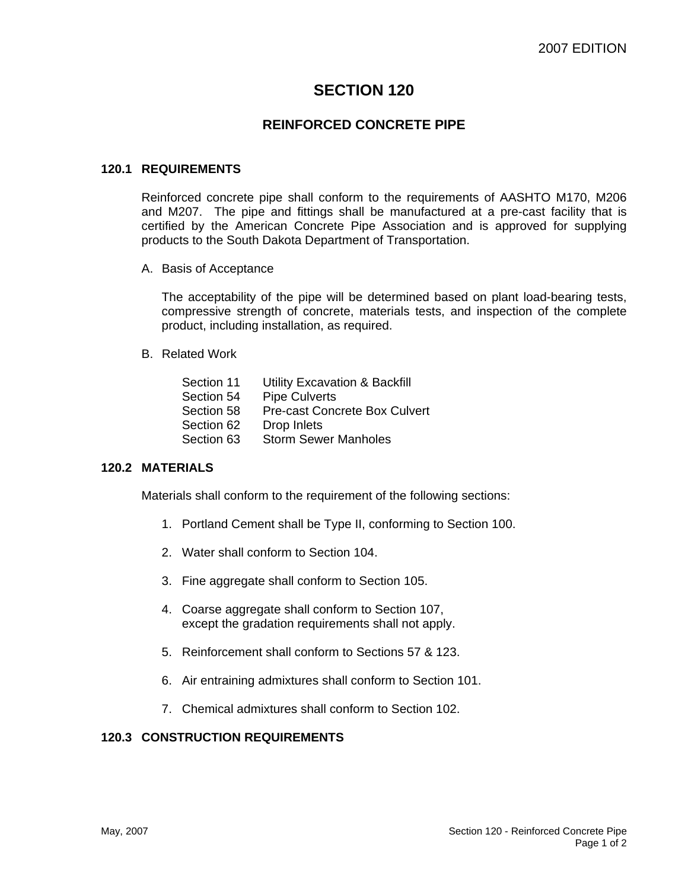# **SECTION 120**

## **REINFORCED CONCRETE PIPE**

#### **120.1 REQUIREMENTS**

Reinforced concrete pipe shall conform to the requirements of AASHTO M170, M206 and M207. The pipe and fittings shall be manufactured at a pre-cast facility that is certified by the American Concrete Pipe Association and is approved for supplying products to the South Dakota Department of Transportation.

A. Basis of Acceptance

The acceptability of the pipe will be determined based on plant load-bearing tests, compressive strength of concrete, materials tests, and inspection of the complete product, including installation, as required.

B. Related Work

| Section 11 | <b>Utility Excavation &amp; Backfill</b> |
|------------|------------------------------------------|
| Section 54 | <b>Pipe Culverts</b>                     |
| Section 58 | <b>Pre-cast Concrete Box Culvert</b>     |
| Section 62 | Drop Inlets                              |
| Section 63 | <b>Storm Sewer Manholes</b>              |

#### **120.2 MATERIALS**

Materials shall conform to the requirement of the following sections:

- 1. Portland Cement shall be Type II, conforming to Section 100.
- 2. Water shall conform to Section 104.
- 3. Fine aggregate shall conform to Section 105.
- 4. Coarse aggregate shall conform to Section 107, except the gradation requirements shall not apply.
- 5. Reinforcement shall conform to Sections 57 & 123.
- 6. Air entraining admixtures shall conform to Section 101.
- 7. Chemical admixtures shall conform to Section 102.

#### **120.3 CONSTRUCTION REQUIREMENTS**